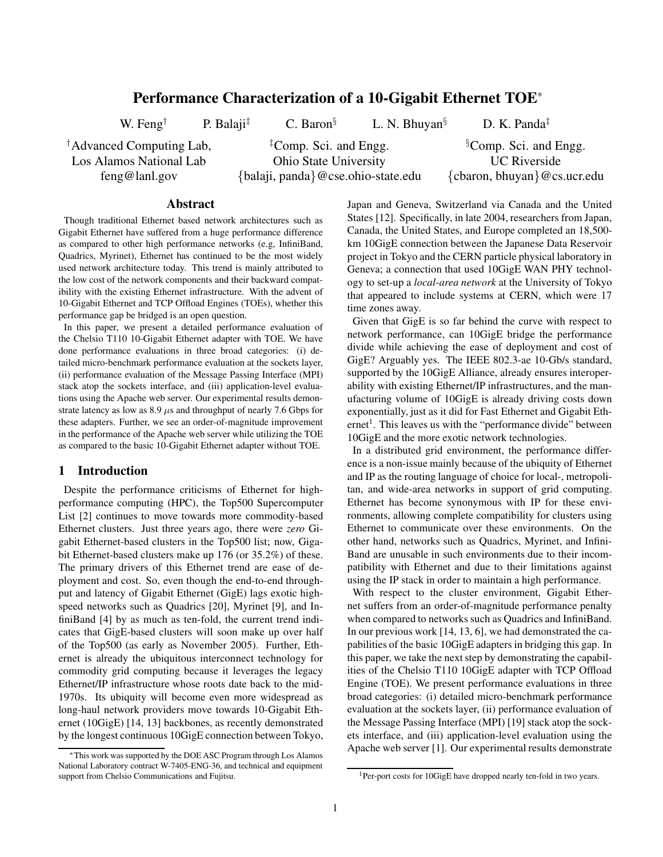# **Performance Characterization of a 10-Gigabit Ethernet TOE**<sup>∗</sup>

*†* Advanced Computing Lab, Los Alamos National Lab feng@lanl.gov

W. Feng*†* P. Balaji*‡* C. Baron*§* L. N. Bhuyan*§* D. K. Panda*‡*

*‡* Comp. Sci. and Engg.

Ohio State University

{balaji, panda}@cse.ohio-state.edu

*§* Comp. Sci. and Engg. UC Riverside {cbaron, bhuyan}@cs.ucr.edu

### **Abstract**

Though traditional Ethernet based network architectures such as Gigabit Ethernet have suffered from a huge performance difference as compared to other high performance networks (e.g, InfiniBand, Quadrics, Myrinet), Ethernet has continued to be the most widely used network architecture today. This trend is mainly attributed to the low cost of the network components and their backward compatibility with the existing Ethernet infrastructure. With the advent of 10-Gigabit Ethernet and TCP Offload Engines (TOEs), whether this performance gap be bridged is an open question.

In this paper, we present a detailed performance evaluation of the Chelsio T110 10-Gigabit Ethernet adapter with TOE. We have done performance evaluations in three broad categories: (i) detailed micro-benchmark performance evaluation at the sockets layer, (ii) performance evaluation of the Message Passing Interface (MPI) stack atop the sockets interface, and (iii) application-level evaluations using the Apache web server. Our experimental results demonstrate latency as low as  $8.9 \mu s$  and throughput of nearly 7.6 Gbps for these adapters. Further, we see an order-of-magnitude improvement in the performance of the Apache web server while utilizing the TOE as compared to the basic 10-Gigabit Ethernet adapter without TOE.

### **1 Introduction**

Despite the performance criticisms of Ethernet for highperformance computing (HPC), the Top500 Supercomputer List [2] continues to move towards more commodity-based Ethernet clusters. Just three years ago, there were *zero* Gigabit Ethernet-based clusters in the Top500 list; now, Gigabit Ethernet-based clusters make up 176 (or 35.2%) of these. The primary drivers of this Ethernet trend are ease of deployment and cost. So, even though the end-to-end throughput and latency of Gigabit Ethernet (GigE) lags exotic highspeed networks such as Quadrics [20], Myrinet [9], and InfiniBand [4] by as much as ten-fold, the current trend indicates that GigE-based clusters will soon make up over half of the Top500 (as early as November 2005). Further, Ethernet is already the ubiquitous interconnect technology for commodity grid computing because it leverages the legacy Ethernet/IP infrastructure whose roots date back to the mid-1970s. Its ubiquity will become even more widespread as long-haul network providers move towards 10-Gigabit Ethernet (10GigE) [14, 13] backbones, as recently demonstrated by the longest continuous 10GigE connection between Tokyo,

∗This work was supported by the DOE ASC Program through Los Alamos National Laboratory contract W-7405-ENG-36, and technical and equipment support from Chelsio Communications and Fujitsu.

Japan and Geneva, Switzerland via Canada and the United States [12]. Specifically, in late 2004, researchers from Japan, Canada, the United States, and Europe completed an 18,500 km 10GigE connection between the Japanese Data Reservoir project in Tokyo and the CERN particle physical laboratory in Geneva; a connection that used 10GigE WAN PHY technology to set-up a *local-area network* at the University of Tokyo that appeared to include systems at CERN, which were 17 time zones away.

Given that GigE is so far behind the curve with respect to network performance, can 10GigE bridge the performance divide while achieving the ease of deployment and cost of GigE? Arguably yes. The IEEE 802.3-ae 10-Gb/s standard, supported by the 10GigE Alliance, already ensures interoperability with existing Ethernet/IP infrastructures, and the manufacturing volume of 10GigE is already driving costs down exponentially, just as it did for Fast Ethernet and Gigabit Eth $ernet<sup>1</sup>$ . This leaves us with the "performance divide" between 10GigE and the more exotic network technologies.

In a distributed grid environment, the performance difference is a non-issue mainly because of the ubiquity of Ethernet and IP as the routing language of choice for local-, metropolitan, and wide-area networks in support of grid computing. Ethernet has become synonymous with IP for these environments, allowing complete compatibility for clusters using Ethernet to communicate over these environments. On the other hand, networks such as Quadrics, Myrinet, and Infini-Band are unusable in such environments due to their incompatibility with Ethernet and due to their limitations against using the IP stack in order to maintain a high performance.

With respect to the cluster environment, Gigabit Ethernet suffers from an order-of-magnitude performance penalty when compared to networks such as Quadrics and InfiniBand. In our previous work [14, 13, 6], we had demonstrated the capabilities of the basic 10GigE adapters in bridging this gap. In this paper, we take the next step by demonstrating the capabilities of the Chelsio T110 10GigE adapter with TCP Offload Engine (TOE). We present performance evaluations in three broad categories: (i) detailed micro-benchmark performance evaluation at the sockets layer, (ii) performance evaluation of the Message Passing Interface (MPI) [19] stack atop the sockets interface, and (iii) application-level evaluation using the Apache web server [1]. Our experimental results demonstrate

<sup>&</sup>lt;sup>1</sup>Per-port costs for 10GigE have dropped nearly ten-fold in two years.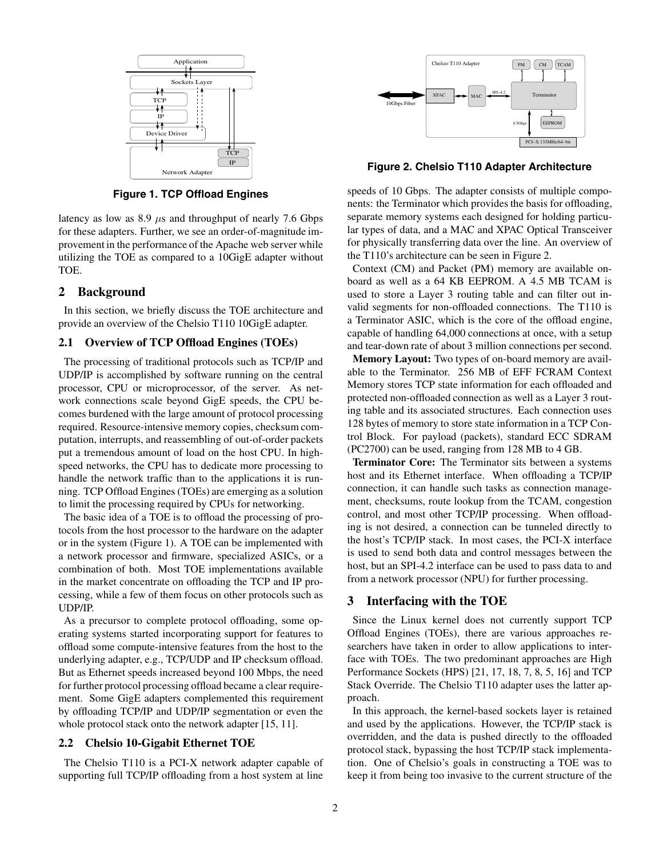

**Figure 1. TCP Offload Engines**

latency as low as  $8.9 \mu s$  and throughput of nearly 7.6 Gbps for these adapters. Further, we see an order-of-magnitude improvement in the performance of the Apache web server while utilizing the TOE as compared to a 10GigE adapter without TOE.

## **2 Background**

In this section, we briefly discuss the TOE architecture and provide an overview of the Chelsio T110 10GigE adapter.

#### **2.1 Overview of TCP Offload Engines (TOEs)**

The processing of traditional protocols such as TCP/IP and UDP/IP is accomplished by software running on the central processor, CPU or microprocessor, of the server. As network connections scale beyond GigE speeds, the CPU becomes burdened with the large amount of protocol processing required. Resource-intensive memory copies, checksum computation, interrupts, and reassembling of out-of-order packets put a tremendous amount of load on the host CPU. In highspeed networks, the CPU has to dedicate more processing to handle the network traffic than to the applications it is running. TCP Offload Engines (TOEs) are emerging as a solution to limit the processing required by CPUs for networking.

The basic idea of a TOE is to offload the processing of protocols from the host processor to the hardware on the adapter or in the system (Figure 1). A TOE can be implemented with a network processor and firmware, specialized ASICs, or a combination of both. Most TOE implementations available in the market concentrate on offloading the TCP and IP processing, while a few of them focus on other protocols such as UDP/IP.

As a precursor to complete protocol offloading, some operating systems started incorporating support for features to offload some compute-intensive features from the host to the underlying adapter, e.g., TCP/UDP and IP checksum offload. But as Ethernet speeds increased beyond 100 Mbps, the need for further protocol processing offload became a clear requirement. Some GigE adapters complemented this requirement by offloading TCP/IP and UDP/IP segmentation or even the whole protocol stack onto the network adapter [15, 11].

## **2.2 Chelsio 10-Gigabit Ethernet TOE**

The Chelsio T110 is a PCI-X network adapter capable of supporting full TCP/IP offloading from a host system at line



**Figure 2. Chelsio T110 Adapter Architecture**

speeds of 10 Gbps. The adapter consists of multiple components: the Terminator which provides the basis for offloading, separate memory systems each designed for holding particular types of data, and a MAC and XPAC Optical Transceiver for physically transferring data over the line. An overview of the T110's architecture can be seen in Figure 2.

Context (CM) and Packet (PM) memory are available onboard as well as a 64 KB EEPROM. A 4.5 MB TCAM is used to store a Layer 3 routing table and can filter out invalid segments for non-offloaded connections. The T110 is a Terminator ASIC, which is the core of the offload engine, capable of handling 64,000 connections at once, with a setup and tear-down rate of about 3 million connections per second.

**Memory Layout:** Two types of on-board memory are available to the Terminator. 256 MB of EFF FCRAM Context Memory stores TCP state information for each offloaded and protected non-offloaded connection as well as a Layer 3 routing table and its associated structures. Each connection uses 128 bytes of memory to store state information in a TCP Control Block. For payload (packets), standard ECC SDRAM (PC2700) can be used, ranging from 128 MB to 4 GB.

**Terminator Core:** The Terminator sits between a systems host and its Ethernet interface. When offloading a TCP/IP connection, it can handle such tasks as connection management, checksums, route lookup from the TCAM, congestion control, and most other TCP/IP processing. When offloading is not desired, a connection can be tunneled directly to the host's TCP/IP stack. In most cases, the PCI-X interface is used to send both data and control messages between the host, but an SPI-4.2 interface can be used to pass data to and from a network processor (NPU) for further processing.

### **3 Interfacing with the TOE**

Since the Linux kernel does not currently support TCP Offload Engines (TOEs), there are various approaches researchers have taken in order to allow applications to interface with TOEs. The two predominant approaches are High Performance Sockets (HPS) [21, 17, 18, 7, 8, 5, 16] and TCP Stack Override. The Chelsio T110 adapter uses the latter approach.

In this approach, the kernel-based sockets layer is retained and used by the applications. However, the TCP/IP stack is overridden, and the data is pushed directly to the offloaded protocol stack, bypassing the host TCP/IP stack implementation. One of Chelsio's goals in constructing a TOE was to keep it from being too invasive to the current structure of the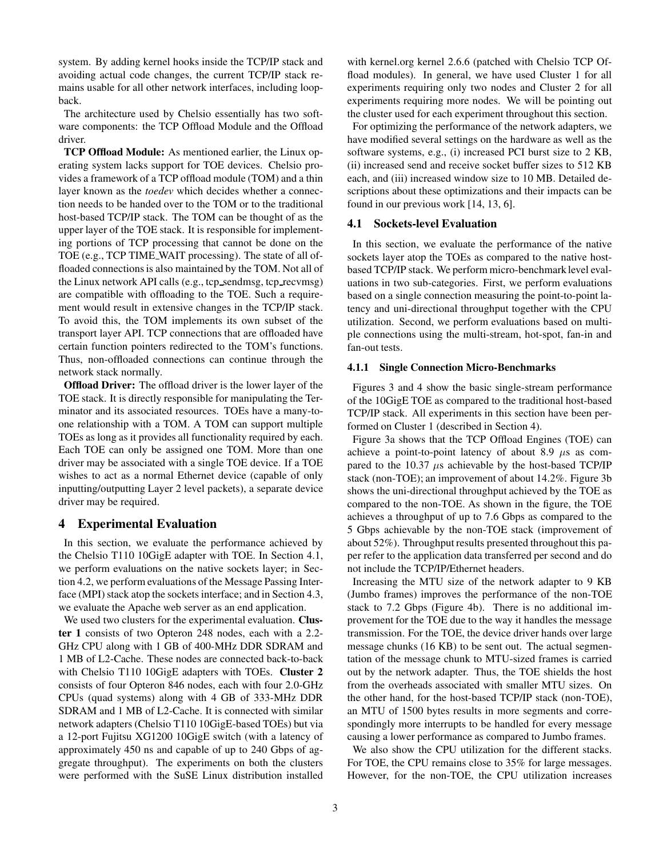system. By adding kernel hooks inside the TCP/IP stack and avoiding actual code changes, the current TCP/IP stack remains usable for all other network interfaces, including loopback.

The architecture used by Chelsio essentially has two software components: the TCP Offload Module and the Offload driver.

**TCP Offload Module:** As mentioned earlier, the Linux operating system lacks support for TOE devices. Chelsio provides a framework of a TCP offload module (TOM) and a thin layer known as the *toedev* which decides whether a connection needs to be handed over to the TOM or to the traditional host-based TCP/IP stack. The TOM can be thought of as the upper layer of the TOE stack. It is responsible for implementing portions of TCP processing that cannot be done on the TOE (e.g., TCP TIME WAIT processing). The state of all offloaded connections is also maintained by the TOM. Not all of the Linux network API calls (e.g., tcp sendmsg, tcp recvmsg) are compatible with offloading to the TOE. Such a requirement would result in extensive changes in the TCP/IP stack. To avoid this, the TOM implements its own subset of the transport layer API. TCP connections that are offloaded have certain function pointers redirected to the TOM's functions. Thus, non-offloaded connections can continue through the network stack normally.

**Offload Driver:** The offload driver is the lower layer of the TOE stack. It is directly responsible for manipulating the Terminator and its associated resources. TOEs have a many-toone relationship with a TOM. A TOM can support multiple TOEs as long as it provides all functionality required by each. Each TOE can only be assigned one TOM. More than one driver may be associated with a single TOE device. If a TOE wishes to act as a normal Ethernet device (capable of only inputting/outputting Layer 2 level packets), a separate device driver may be required.

## **4 Experimental Evaluation**

In this section, we evaluate the performance achieved by the Chelsio T110 10GigE adapter with TOE. In Section 4.1, we perform evaluations on the native sockets layer; in Section 4.2, we perform evaluations of the Message Passing Interface (MPI) stack atop the sockets interface; and in Section 4.3, we evaluate the Apache web server as an end application.

We used two clusters for the experimental evaluation. **Cluster 1** consists of two Opteron 248 nodes, each with a 2.2- GHz CPU along with 1 GB of 400-MHz DDR SDRAM and 1 MB of L2-Cache. These nodes are connected back-to-back with Chelsio T110 10GigE adapters with TOEs. **Cluster 2** consists of four Opteron 846 nodes, each with four 2.0-GHz CPUs (quad systems) along with 4 GB of 333-MHz DDR SDRAM and 1 MB of L2-Cache. It is connected with similar network adapters (Chelsio T110 10GigE-based TOEs) but via a 12-port Fujitsu XG1200 10GigE switch (with a latency of approximately 450 ns and capable of up to 240 Gbps of aggregate throughput). The experiments on both the clusters were performed with the SuSE Linux distribution installed with kernel.org kernel 2.6.6 (patched with Chelsio TCP Offload modules). In general, we have used Cluster 1 for all experiments requiring only two nodes and Cluster 2 for all experiments requiring more nodes. We will be pointing out the cluster used for each experiment throughout this section.

For optimizing the performance of the network adapters, we have modified several settings on the hardware as well as the software systems, e.g., (i) increased PCI burst size to 2 KB, (ii) increased send and receive socket buffer sizes to 512 KB each, and (iii) increased window size to 10 MB. Detailed descriptions about these optimizations and their impacts can be found in our previous work [14, 13, 6].

## **4.1 Sockets-level Evaluation**

In this section, we evaluate the performance of the native sockets layer atop the TOEs as compared to the native hostbased TCP/IP stack. We perform micro-benchmark level evaluations in two sub-categories. First, we perform evaluations based on a single connection measuring the point-to-point latency and uni-directional throughput together with the CPU utilization. Second, we perform evaluations based on multiple connections using the multi-stream, hot-spot, fan-in and fan-out tests.

## **4.1.1 Single Connection Micro-Benchmarks**

Figures 3 and 4 show the basic single-stream performance of the 10GigE TOE as compared to the traditional host-based TCP/IP stack. All experiments in this section have been performed on Cluster 1 (described in Section 4).

Figure 3a shows that the TCP Offload Engines (TOE) can achieve a point-to-point latency of about 8.9  $\mu$ s as compared to the 10.37  $\mu$ s achievable by the host-based TCP/IP stack (non-TOE); an improvement of about 14.2%. Figure 3b shows the uni-directional throughput achieved by the TOE as compared to the non-TOE. As shown in the figure, the TOE achieves a throughput of up to 7.6 Gbps as compared to the 5 Gbps achievable by the non-TOE stack (improvement of about 52%). Throughput results presented throughout this paper refer to the application data transferred per second and do not include the TCP/IP/Ethernet headers.

Increasing the MTU size of the network adapter to 9 KB (Jumbo frames) improves the performance of the non-TOE stack to 7.2 Gbps (Figure 4b). There is no additional improvement for the TOE due to the way it handles the message transmission. For the TOE, the device driver hands over large message chunks (16 KB) to be sent out. The actual segmentation of the message chunk to MTU-sized frames is carried out by the network adapter. Thus, the TOE shields the host from the overheads associated with smaller MTU sizes. On the other hand, for the host-based TCP/IP stack (non-TOE), an MTU of 1500 bytes results in more segments and correspondingly more interrupts to be handled for every message causing a lower performance as compared to Jumbo frames.

We also show the CPU utilization for the different stacks. For TOE, the CPU remains close to 35% for large messages. However, for the non-TOE, the CPU utilization increases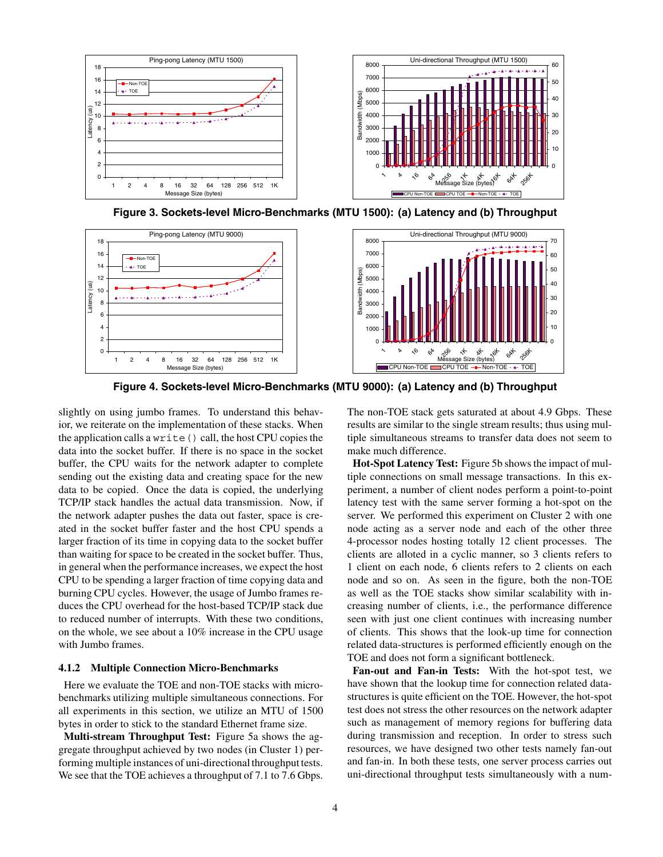

**Figure 3. Sockets-level Micro-Benchmarks (MTU 1500): (a) Latency and (b) Throughput**



**Figure 4. Sockets-level Micro-Benchmarks (MTU 9000): (a) Latency and (b) Throughput**

slightly on using jumbo frames. To understand this behavior, we reiterate on the implementation of these stacks. When the application calls a write() call, the host CPU copies the data into the socket buffer. If there is no space in the socket buffer, the CPU waits for the network adapter to complete sending out the existing data and creating space for the new data to be copied. Once the data is copied, the underlying TCP/IP stack handles the actual data transmission. Now, if the network adapter pushes the data out faster, space is created in the socket buffer faster and the host CPU spends a larger fraction of its time in copying data to the socket buffer than waiting for space to be created in the socket buffer. Thus, in general when the performance increases, we expect the host CPU to be spending a larger fraction of time copying data and burning CPU cycles. However, the usage of Jumbo frames reduces the CPU overhead for the host-based TCP/IP stack due to reduced number of interrupts. With these two conditions, on the whole, we see about a 10% increase in the CPU usage with Jumbo frames.

### **4.1.2 Multiple Connection Micro-Benchmarks**

Here we evaluate the TOE and non-TOE stacks with microbenchmarks utilizing multiple simultaneous connections. For all experiments in this section, we utilize an MTU of 1500 bytes in order to stick to the standard Ethernet frame size.

**Multi-stream Throughput Test:** Figure 5a shows the aggregate throughput achieved by two nodes (in Cluster 1) performing multiple instances of uni-directional throughput tests. We see that the TOE achieves a throughput of 7.1 to 7.6 Gbps. The non-TOE stack gets saturated at about 4.9 Gbps. These results are similar to the single stream results; thus using multiple simultaneous streams to transfer data does not seem to make much difference.

**Hot-Spot Latency Test:** Figure 5b shows the impact of multiple connections on small message transactions. In this experiment, a number of client nodes perform a point-to-point latency test with the same server forming a hot-spot on the server. We performed this experiment on Cluster 2 with one node acting as a server node and each of the other three 4-processor nodes hosting totally 12 client processes. The clients are alloted in a cyclic manner, so 3 clients refers to 1 client on each node, 6 clients refers to 2 clients on each node and so on. As seen in the figure, both the non-TOE as well as the TOE stacks show similar scalability with increasing number of clients, i.e., the performance difference seen with just one client continues with increasing number of clients. This shows that the look-up time for connection related data-structures is performed efficiently enough on the TOE and does not form a significant bottleneck.

**Fan-out and Fan-in Tests:** With the hot-spot test, we have shown that the lookup time for connection related datastructures is quite efficient on the TOE. However, the hot-spot test does not stress the other resources on the network adapter such as management of memory regions for buffering data during transmission and reception. In order to stress such resources, we have designed two other tests namely fan-out and fan-in. In both these tests, one server process carries out uni-directional throughput tests simultaneously with a num-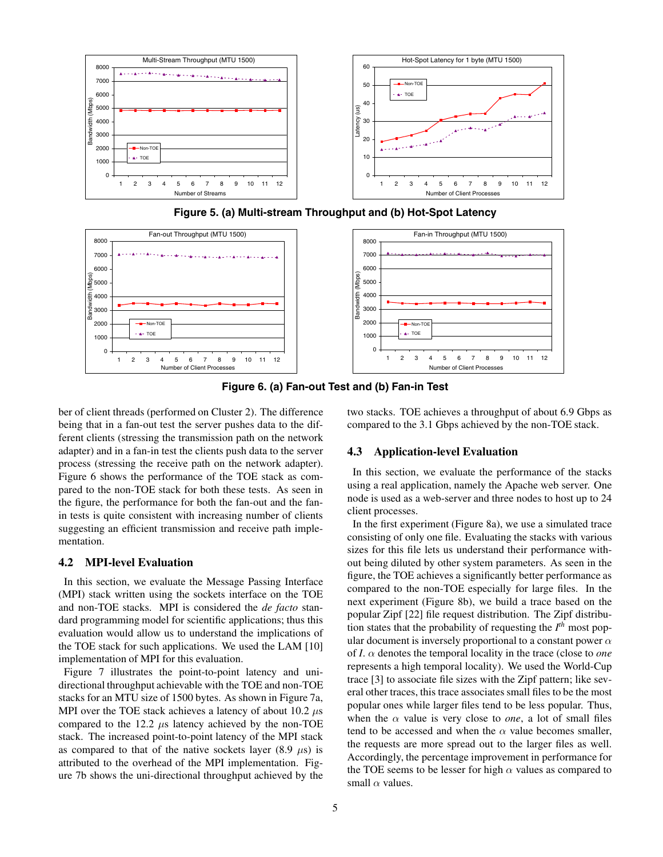



**Figure 5. (a) Multi-stream Throughput and (b) Hot-Spot Latency**



ber of client threads (performed on Cluster 2). The difference being that in a fan-out test the server pushes data to the different clients (stressing the transmission path on the network adapter) and in a fan-in test the clients push data to the server process (stressing the receive path on the network adapter). Figure 6 shows the performance of the TOE stack as compared to the non-TOE stack for both these tests. As seen in the figure, the performance for both the fan-out and the fanin tests is quite consistent with increasing number of clients suggesting an efficient transmission and receive path implementation.

### **4.2 MPI-level Evaluation**

In this section, we evaluate the Message Passing Interface (MPI) stack written using the sockets interface on the TOE and non-TOE stacks. MPI is considered the *de facto* standard programming model for scientific applications; thus this evaluation would allow us to understand the implications of the TOE stack for such applications. We used the LAM [10] implementation of MPI for this evaluation.

Figure 7 illustrates the point-to-point latency and unidirectional throughput achievable with the TOE and non-TOE stacks for an MTU size of 1500 bytes. As shown in Figure 7a, MPI over the TOE stack achieves a latency of about 10.2  $\mu$ s compared to the 12.2  $\mu$ s latency achieved by the non-TOE stack. The increased point-to-point latency of the MPI stack as compared to that of the native sockets layer (8.9  $\mu$ s) is attributed to the overhead of the MPI implementation. Figure 7b shows the uni-directional throughput achieved by the two stacks. TOE achieves a throughput of about 6.9 Gbps as compared to the 3.1 Gbps achieved by the non-TOE stack.

## **4.3 Application-level Evaluation**

In this section, we evaluate the performance of the stacks using a real application, namely the Apache web server. One node is used as a web-server and three nodes to host up to 24 client processes.

In the first experiment (Figure 8a), we use a simulated trace consisting of only one file. Evaluating the stacks with various sizes for this file lets us understand their performance without being diluted by other system parameters. As seen in the figure, the TOE achieves a significantly better performance as compared to the non-TOE especially for large files. In the next experiment (Figure 8b), we build a trace based on the popular Zipf [22] file request distribution. The Zipf distribution states that the probability of requesting the *I th* most popular document is inversely proportional to a constant power  $\alpha$ of *I*. α denotes the temporal locality in the trace (close to *one* represents a high temporal locality). We used the World-Cup trace [3] to associate file sizes with the Zipf pattern; like several other traces, this trace associates small files to be the most popular ones while larger files tend to be less popular. Thus, when the  $\alpha$  value is very close to *one*, a lot of small files tend to be accessed and when the  $\alpha$  value becomes smaller, the requests are more spread out to the larger files as well. Accordingly, the percentage improvement in performance for the TOE seems to be lesser for high  $\alpha$  values as compared to small  $\alpha$  values.